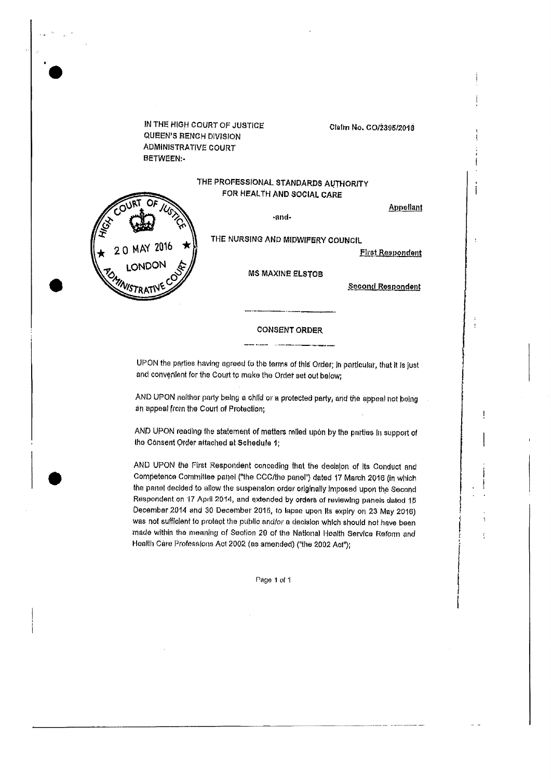IN THE HIGH COURT OF JUSTICE QUEEN'S BENCH DIVISION **ADMINISTRATIVE COURT** BETWEEN:-

 $20$  MAY  $2016$ 

LONDO

INISTRAT

#### Claim No. CO/2395/2016

## THE PROFESSIONAL STANDARDS AUTHORITY FOR HEALTH AND SOCIAL CARE

Appellant

j

-and-THE NURSING AND MIDWIFERY COUNCIL

**First Respondent** 

**MS MAXINE ELSTOB** 

**Second Respondent** 

#### **CONSENT ORDER**

UPON the parties having agreed to the terms of this Order; in particular, that it is just and convenient for the Court to make the Order set out below;

AND UPON neither party being a child or a protected party, and the appeal not being an appeal from the Court of Protection;

AND UPON reading the statement of matters relied upon by the parties in support of the Consent Order attached at Schedule 1;

AND UPON the First Respondent conceding that the decision of its Conduct and Competence Committee panel ("the CCC/the panel") dated 17 March 2016 (in which the panel decided to allow the suspension order originally imposed upon the Second Respondent on 17 April 2014, and extended by orders of reviewing panels dated 15 December 2014 and 30 December 2015, to lapse upon its expiry on 23 May 2016) was not sufficient to protect the public and/or a decision which should not have been made within the meaning of Section 29 of the National Health Service Reform and Health Care Professions Act 2002 (as amended) ("the 2002 Act");

Page 1 of 1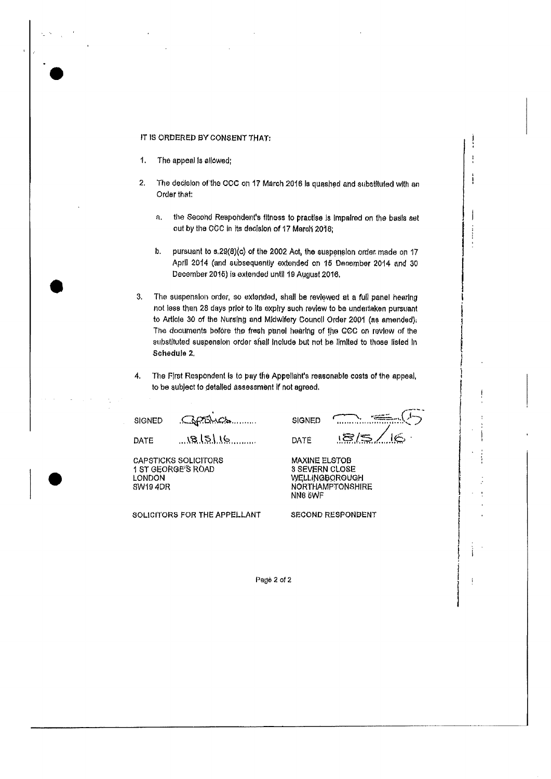#### IT IS ORDERED BY CONSENT THAT:

- $\mathbf{1}$ . The appeal is allowed;
- $2.$ The decision of the CCC on 17 March 2016 is quashed and substituted with an Order that:
	- the Second Respondent's fitness to practise is impaired on the basis set a. out by the CCC in its decision of 17 March 2016;
	- $\mathbf{h}$ pursuant to s.29(8)(c) of the 2002 Act, the suspension order made on 17 April 2014 (and subsequently extended on 15 December 2014 and 30 December 2015) is extended until 19 August 2016.
- The suspension order, so extended, shall be reviewed at a full panel hearing 3. not less than 28 days prior to its expiry such review to be undertaken pursuant to Article 30 of the Nursing and Midwifery Council Order 2001 (as amended); The documents before the fresh panel hearing of the CCC on review of the substituted suspension order shall include but not be limited to those listed in Schedule 2.
- The First Respondent is to pay the Appellant's reasonable costs of the appeal,  $\mathbf{A}$ . to be subject to detailed assessment if not agreed.

**SIGNED** 

 $751.72$ SIGNED  $18.151.16$ 

DATE

**LONDON** 

SW19 4DR

**CAPSTICKS SOLICITORS** 1 ST GEORGE'S ROAD

SOLICITORS FOR THE APPELLANT

<u>18/S</u> DATE

 $\cdot$ 

j

**MAXINE ELSTOB 3 SEVERN CLOSE** WELLINGBOROUGH **NORTHAMPTONSHIRE** NN8 5WF

**SECOND RESPONDENT** 

Page 2 of 2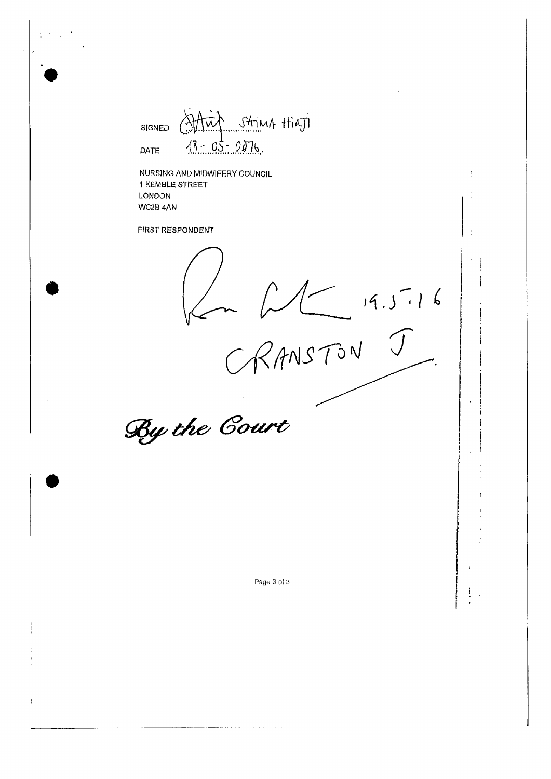Altur String High SIGNED  $18 - 05 - 2076$ DATE

**NURSING AND MIDWIFERY COUNCIL 1 KEMBLE STREET** 

 $RANSTONJ$ 

÷

 $\frac{1}{2}$ 

 $\ddot{\cdot}$ 

Page 3 of 3

المتالة المالية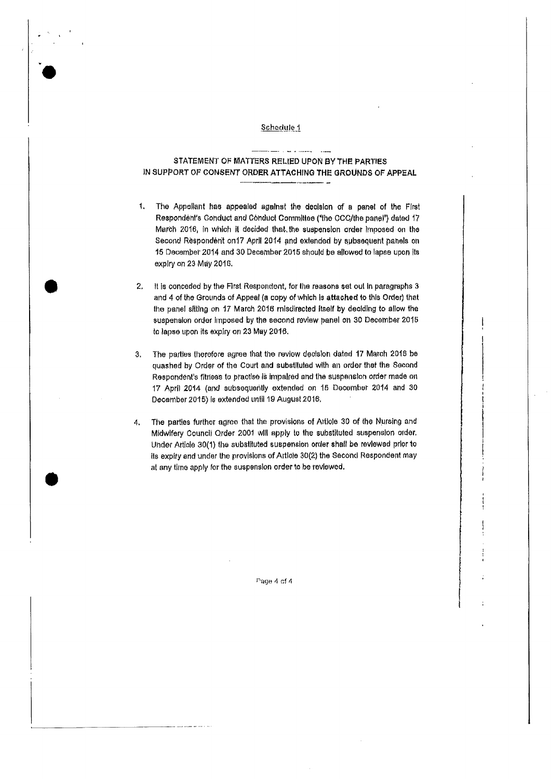### Schedule 1

# STATEMENT OF MATTERS RELIED UPON BY THE PARTIES IN SUPPORT OF CONSENT ORDER ATTACHING THE GROUNDS OF APPEAL

- $\mathbf{1}$ . The Appellant has appealed against the decision of a panel of the First Respondent's Conduct and Conduct Committee ("the CCC/the panel") dated 17 March 2016, in which it decided that the suspension order imposed on the Second Respondent on 17 April 2014 and extended by subsequent panels on 15 December 2014 and 30 December 2015 should be allowed to lapse upon its explry on 23 May 2016.
- It is conceded by the First Respondent, for the reasons set out in paragraphs 3  $2.$ and 4 of the Grounds of Appeal (a copy of which is attached to this Order) that the panel sitting on 17 March 2016 misdirected itself by deciding to allow the suspension order imposed by the second review panel on 30 December 2015 to lapse upon its expliy on 23 May 2016.
- The parties therefore agree that the review decision dated 17 March 2016 be  $\mathbf{A}$ quashed by Order of the Court and substituted with an order that the Second Respondent's fitness to practise is impaired and the suspension order made on 17 April 2014 (and subsequently extended on 15 December 2014 and 30 December 2015) is extended until 19 August 2016.
- The parties further agree that the provisions of Article 30 of the Nursing and  $\mathbf{4}$ . Midwifery Council Order 2001 will apply to the substituted suspension order. Under Article 30(1) the substituted suspension order shall be reviewed prior to its expity and under the provisions of Article 30(2) the Second Respondent may at any time apply for the suspension order to be reviewed.

Page 4 of 4